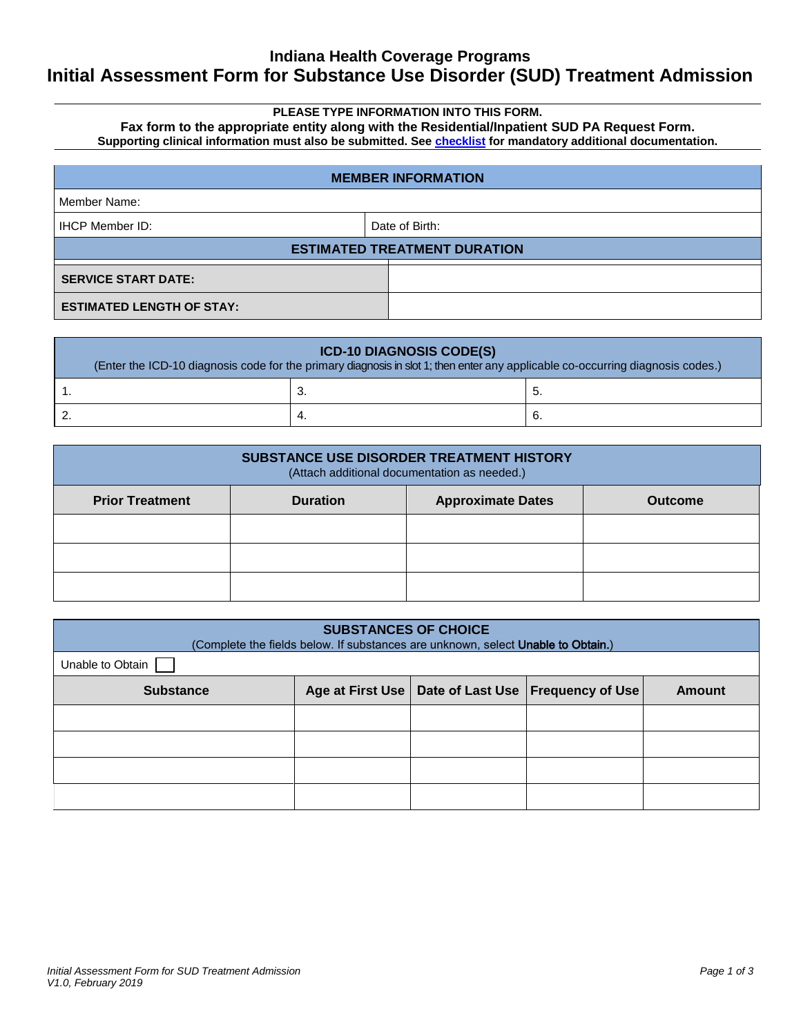### **Indiana Health Coverage Programs Initial Assessment Form for Substance Use Disorder (SUD) Treatment Admission**

### **PLEASE TYPE INFORMATION INTO THIS FORM.**

**Fax form to the appropriate entity along with the Residential/Inpatient SUD PA Request Form. Supporting clinical information must also be submitted. Se[e checklist](#page-2-0) for mandatory additional documentation.**

| <b>MEMBER INFORMATION</b>        |                                     |  |  |
|----------------------------------|-------------------------------------|--|--|
| Member Name:                     |                                     |  |  |
| <b>IHCP Member ID:</b>           | Date of Birth:                      |  |  |
|                                  | <b>ESTIMATED TREATMENT DURATION</b> |  |  |
| <b>SERVICE START DATE:</b>       |                                     |  |  |
| <b>ESTIMATED LENGTH OF STAY:</b> |                                     |  |  |

| <b>ICD-10 DIAGNOSIS CODE(S)</b><br>(Enter the ICD-10 diagnosis code for the primary diagnosis in slot 1; then enter any applicable co-occurring diagnosis codes.) |     |    |  |
|-------------------------------------------------------------------------------------------------------------------------------------------------------------------|-----|----|--|
|                                                                                                                                                                   | Ő.  | J. |  |
|                                                                                                                                                                   | -4. | б. |  |

| <b>SUBSTANCE USE DISORDER TREATMENT HISTORY</b><br>(Attach additional documentation as needed.) |                 |                          |                |
|-------------------------------------------------------------------------------------------------|-----------------|--------------------------|----------------|
| <b>Prior Treatment</b>                                                                          | <b>Duration</b> | <b>Approximate Dates</b> | <b>Outcome</b> |
|                                                                                                 |                 |                          |                |
|                                                                                                 |                 |                          |                |
|                                                                                                 |                 |                          |                |

| <b>SUBSTANCES OF CHOICE</b><br>(Complete the fields below. If substances are unknown, select <b>Unable to Obtain.)</b> |  |  |                                                        |               |
|------------------------------------------------------------------------------------------------------------------------|--|--|--------------------------------------------------------|---------------|
| Unable to Obtain                                                                                                       |  |  |                                                        |               |
| <b>Substance</b>                                                                                                       |  |  | Age at First Use   Date of Last Use   Frequency of Use | <b>Amount</b> |
|                                                                                                                        |  |  |                                                        |               |
|                                                                                                                        |  |  |                                                        |               |
|                                                                                                                        |  |  |                                                        |               |
|                                                                                                                        |  |  |                                                        |               |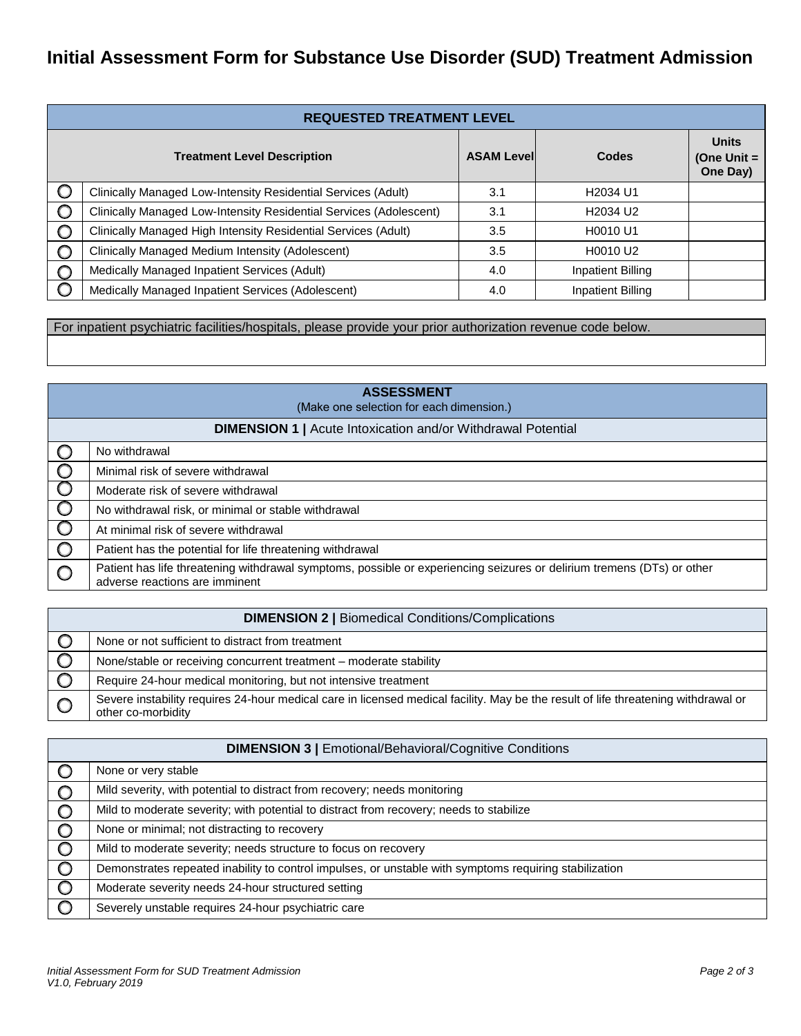# **Initial Assessment Form for Substance Use Disorder (SUD) Treatment Admission**

|         | <b>REQUESTED TREATMENT LEVEL</b>                                   |                    |                                  |                                           |
|---------|--------------------------------------------------------------------|--------------------|----------------------------------|-------------------------------------------|
|         | <b>Treatment Level Description</b>                                 | <b>ASAM Levell</b> | Codes                            | <b>Units</b><br>(One Unit $=$<br>One Day) |
| O       | Clinically Managed Low-Intensity Residential Services (Adult)      | 3.1                | H2034 U1                         |                                           |
| $\circ$ | Clinically Managed Low-Intensity Residential Services (Adolescent) | 3.1                | H <sub>2034</sub> U <sub>2</sub> |                                           |
| $\circ$ | Clinically Managed High Intensity Residential Services (Adult)     | 3.5                | H0010 U1                         |                                           |
| $\circ$ | Clinically Managed Medium Intensity (Adolescent)                   | 3.5                | H0010 U2                         |                                           |
| $\circ$ | Medically Managed Inpatient Services (Adult)                       | 4.0                | <b>Inpatient Billing</b>         |                                           |
| O       | Medically Managed Inpatient Services (Adolescent)                  | 4.0                | <b>Inpatient Billing</b>         |                                           |

For inpatient psychiatric facilities/hospitals, please provide your prior authorization revenue code below.

| <b>ASSESSMENT</b><br>(Make one selection for each dimension.)       |                                                                                                                                                          |  |
|---------------------------------------------------------------------|----------------------------------------------------------------------------------------------------------------------------------------------------------|--|
| <b>DIMENSION 1   Acute Intoxication and/or Withdrawal Potential</b> |                                                                                                                                                          |  |
|                                                                     | No withdrawal                                                                                                                                            |  |
| $\bigcirc$                                                          | Minimal risk of severe withdrawal                                                                                                                        |  |
| $\circ$                                                             | Moderate risk of severe withdrawal                                                                                                                       |  |
| $\cup$                                                              | No withdrawal risk, or minimal or stable withdrawal                                                                                                      |  |
| $\cup$                                                              | At minimal risk of severe withdrawal                                                                                                                     |  |
| $\circ$                                                             | Patient has the potential for life threatening withdrawal                                                                                                |  |
|                                                                     | Patient has life threatening withdrawal symptoms, possible or experiencing seizures or delirium tremens (DTs) or other<br>adverse reactions are imminent |  |

| <b>DIMENSION 2   Biomedical Conditions/Complications</b> |                                                                                                                                                          |  |  |
|----------------------------------------------------------|----------------------------------------------------------------------------------------------------------------------------------------------------------|--|--|
|                                                          | None or not sufficient to distract from treatment                                                                                                        |  |  |
|                                                          | None/stable or receiving concurrent treatment - moderate stability                                                                                       |  |  |
|                                                          | Require 24-hour medical monitoring, but not intensive treatment                                                                                          |  |  |
|                                                          | Severe instability requires 24-hour medical care in licensed medical facility. May be the result of life threatening withdrawal or<br>other co-morbidity |  |  |

|         | <b>DIMENSION 3   Emotional/Behavioral/Cognitive Conditions</b>                                         |  |  |
|---------|--------------------------------------------------------------------------------------------------------|--|--|
|         | None or very stable                                                                                    |  |  |
| $\circ$ | Mild severity, with potential to distract from recovery; needs monitoring                              |  |  |
| $\circ$ | Mild to moderate severity; with potential to distract from recovery; needs to stabilize                |  |  |
|         | None or minimal; not distracting to recovery                                                           |  |  |
|         | Mild to moderate severity; needs structure to focus on recovery                                        |  |  |
|         | Demonstrates repeated inability to control impulses, or unstable with symptoms requiring stabilization |  |  |
| $\circ$ | Moderate severity needs 24-hour structured setting                                                     |  |  |
|         | Severely unstable requires 24-hour psychiatric care                                                    |  |  |